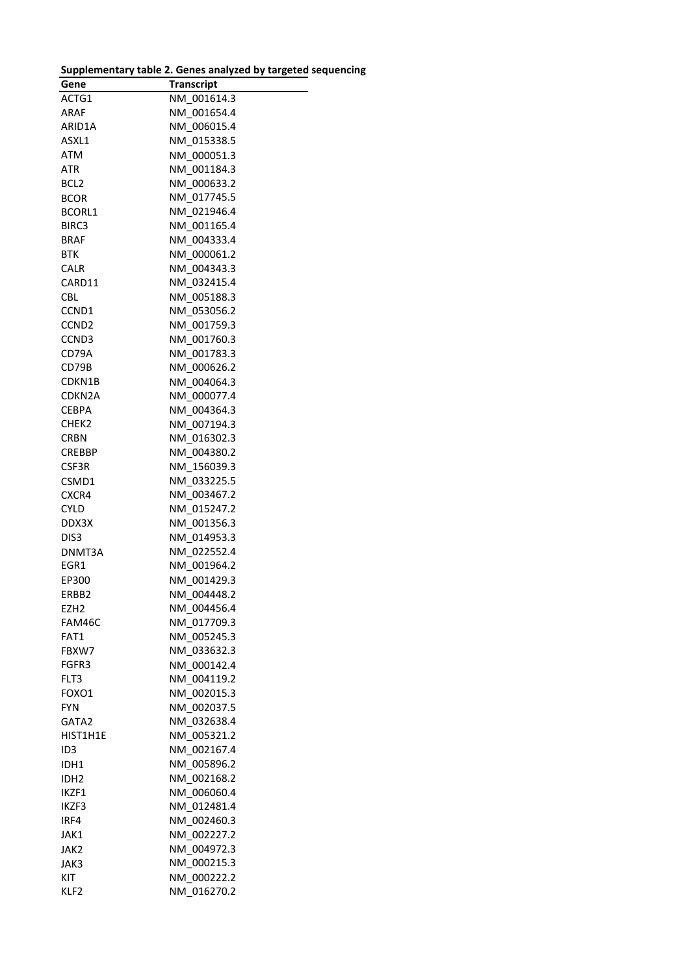| Gene              | <b>Transcript</b> |
|-------------------|-------------------|
| ACTG1             | NM 001614.3       |
| ARAF              | NM_001654.4       |
| ARID1A            | NM 006015.4       |
| ASXL1             | NM 015338.5       |
| ATM               | NM 000051.3       |
| ATR               | NM 001184.3       |
| BCL2              | NM 000633.2       |
| <b>BCOR</b>       | NM 017745.5       |
|                   |                   |
| BCORL1            | NM 021946.4       |
| BIRC3             | NM_001165.4       |
| <b>BRAF</b>       | NM 004333.4       |
| <b>BTK</b>        | NM_000061.2       |
| <b>CALR</b>       | NM_004343.3       |
| CARD11            | NM_032415.4       |
| CBL               | NM 005188.3       |
| CCND1             | NM_053056.2       |
| CCND <sub>2</sub> | NM 001759.3       |
| CCND3             | NM 001760.3       |
| CD79A             | NM 001783.3       |
| CD79B             | NM 000626.2       |
| CDKN1B            | NM 004064.3       |
| CDKN2A            | NM_000077.4       |
| CEBPA             | NM 004364.3       |
| CHEK2             | NM 007194.3       |
| CRBN              | NM 016302.3       |
| <b>CREBBP</b>     | NM 004380.2       |
| CSF3R             | NM 156039.3       |
| CSMD1             | NM 033225.5       |
| CXCR4             | NM 003467.2       |
| <b>CYLD</b>       | NM 015247.2       |
| DDX3X             | NM_001356.3       |
| DIS3              | NM 014953.3       |
| DNMT3A            | NM 022552.4       |
| EGR1              | NM_001964.2       |
| EP300             | NM 001429.3       |
| ERBB2             | NM 004448.2       |
| EZH2              | NM_004456.4       |
| FAM46C            | NM_017709.3       |
| FAT1              | NM 005245.3       |
| FBXW7             | NM_033632.3       |
| FGFR3             | NM 000142.4       |
| FLT3              | NM 004119.2       |
| FOXO1             | NM 002015.3       |
| FYN.              | NM 002037.5       |
| GATA2             | NM 032638.4       |
| HIST1H1E          | NM 005321.2       |
| ID3               | NM 002167.4       |
| IDH1              | NM 005896.2       |
| IDH <sub>2</sub>  | NM 002168.2       |
| IKZF1             | NM 006060.4       |
| IKZF3             | NM 012481.4       |
| IRF4              | NM 002460.3       |
| JAK1              | NM 002227.2       |
|                   | NM 004972.3       |
| JAK2              |                   |
| JAK3              | NM 000215.3       |
| KIT               | NM 000222.2       |
| KLF2              | NM_016270.2       |

| Supplementary table 2. Genes analyzed by targeted sequencing |  |  |
|--------------------------------------------------------------|--|--|
|                                                              |  |  |